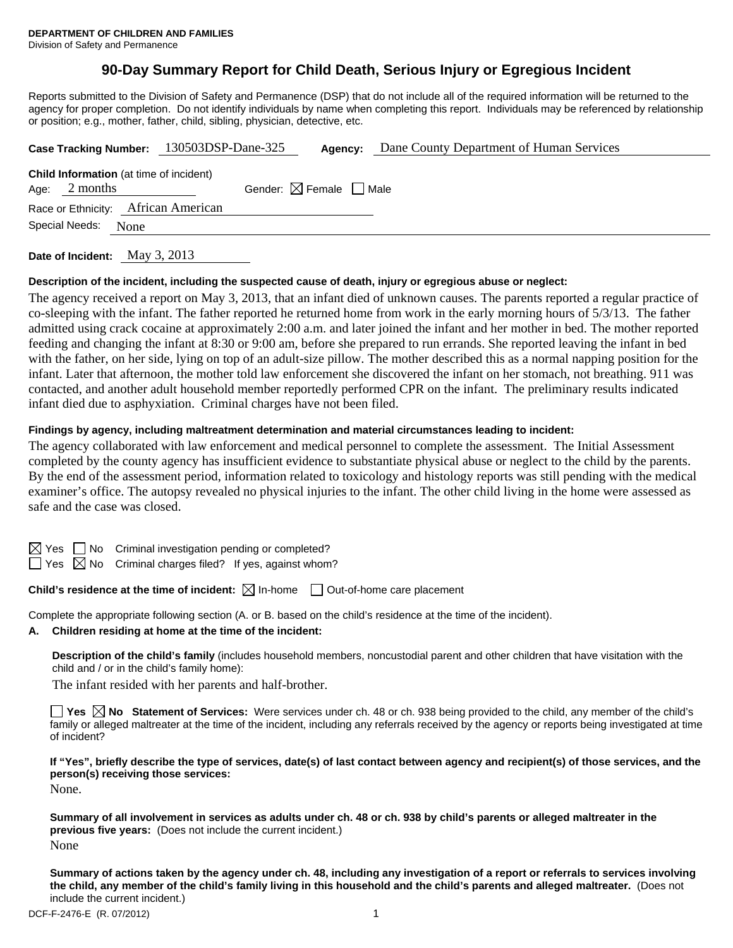# **90-Day Summary Report for Child Death, Serious Injury or Egregious Incident**

Reports submitted to the Division of Safety and Permanence (DSP) that do not include all of the required information will be returned to the agency for proper completion. Do not identify individuals by name when completing this report. Individuals may be referenced by relationship or position; e.g., mother, father, child, sibling, physician, detective, etc.

|                        | Case Tracking Number: 130503DSP-Dane-325                   |  |                                        | Agency: | Dane County Department of Human Services |
|------------------------|------------------------------------------------------------|--|----------------------------------------|---------|------------------------------------------|
| Age:                   | <b>Child Information</b> (at time of incident)<br>2 months |  | Gender: $\boxtimes$ Female $\Box$ Male |         |                                          |
|                        | Race or Ethnicity: African American                        |  |                                        |         |                                          |
| Special Needs:<br>None |                                                            |  |                                        |         |                                          |
|                        |                                                            |  |                                        |         |                                          |

**Date of Incident:** May 3, 2013

### **Description of the incident, including the suspected cause of death, injury or egregious abuse or neglect:**

The agency received a report on May 3, 2013, that an infant died of unknown causes. The parents reported a regular practice of co-sleeping with the infant. The father reported he returned home from work in the early morning hours of 5/3/13. The father admitted using crack cocaine at approximately 2:00 a.m. and later joined the infant and her mother in bed. The mother reported feeding and changing the infant at 8:30 or 9:00 am, before she prepared to run errands. She reported leaving the infant in bed with the father, on her side, lying on top of an adult-size pillow. The mother described this as a normal napping position for the infant. Later that afternoon, the mother told law enforcement she discovered the infant on her stomach, not breathing. 911 was contacted, and another adult household member reportedly performed CPR on the infant. The preliminary results indicated infant died due to asphyxiation. Criminal charges have not been filed.

### **Findings by agency, including maltreatment determination and material circumstances leading to incident:**

The agency collaborated with law enforcement and medical personnel to complete the assessment. The Initial Assessment completed by the county agency has insufficient evidence to substantiate physical abuse or neglect to the child by the parents. By the end of the assessment period, information related to toxicology and histology reports was still pending with the medical examiner's office. The autopsy revealed no physical injuries to the infant. The other child living in the home were assessed as safe and the case was closed.

Pes No Criminal investigation pending or completed?

 $\Box$  Yes  $\boxtimes$  No Criminal charges filed? If yes, against whom?

## **Child's residence at the time of incident:**  $\boxtimes$  In-home  $\Box$  Out-of-home care placement

Complete the appropriate following section (A. or B. based on the child's residence at the time of the incident).

**A. Children residing at home at the time of the incident:**

**Description of the child's family** (includes household members, noncustodial parent and other children that have visitation with the child and / or in the child's family home):

The infant resided with her parents and half-brother.

**Yes No Statement of Services:** Were services under ch. 48 or ch. 938 being provided to the child, any member of the child's family or alleged maltreater at the time of the incident, including any referrals received by the agency or reports being investigated at time of incident?

**If "Yes", briefly describe the type of services, date(s) of last contact between agency and recipient(s) of those services, and the person(s) receiving those services:** 

None.

**Summary of all involvement in services as adults under ch. 48 or ch. 938 by child's parents or alleged maltreater in the previous five years:** (Does not include the current incident.) None

**Summary of actions taken by the agency under ch. 48, including any investigation of a report or referrals to services involving the child, any member of the child's family living in this household and the child's parents and alleged maltreater.** (Does not include the current incident.)